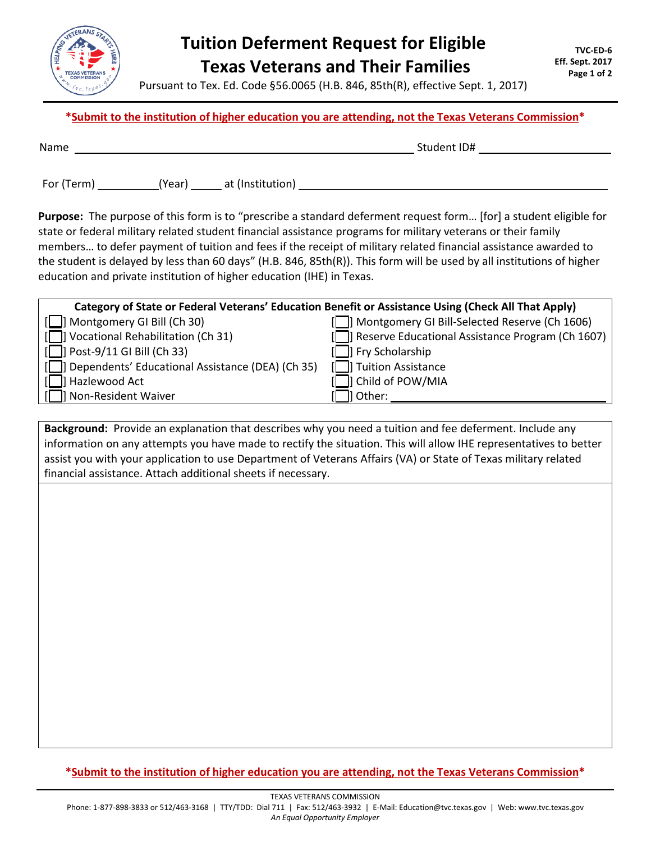

## **Tuition Deferment Request for Eligible Texas Veterans and Their Families**

Pursuant to Tex. Ed. Code §56.0065 (H.B. 846, 85th(R), effective Sept. 1, 2017)

## **\*Submit to the institution of higher education you are attending, not the Texas Veterans Commission\***

| Name | ID#<br>$C+$<br>11 A Q I |
|------|-------------------------|
|      |                         |

For (Term) (Year) at (Institution)

**Purpose:** The purpose of this form is to "prescribe a standard deferment request form… [for] a student eligible for state or federal military related student financial assistance programs for military veterans or their family members… to defer payment of tuition and fees if the receipt of military related financial assistance awarded to the student is delayed by less than 60 days" (H.B. 846, 85th(R)). This form will be used by all institutions of higher education and private institution of higher education (IHE) in Texas.

| Category of State or Federal Veterans' Education Benefit or Assistance Using (Check All That Apply) |                                                       |  |  |
|-----------------------------------------------------------------------------------------------------|-------------------------------------------------------|--|--|
| [C] Montgomery GI Bill (Ch 30)                                                                      | [n] Montgomery GI Bill-Selected Reserve (Ch 1606)     |  |  |
| [□] Vocational Rehabilitation (Ch 31)                                                               | [C]] Reserve Educational Assistance Program (Ch 1607) |  |  |
| $\Box$ Post-9/11 GI Bill (Ch 33)                                                                    | [           Fry Scholarship                           |  |  |
| [C]] Dependents' Educational Assistance (DEA) (Ch 35)                                               | TI Tuition Assistance                                 |  |  |
| ]] Hazlewood Act                                                                                    | I Child of POW/MIA                                    |  |  |
| 1 Non-Resident Waiver                                                                               | l Other:                                              |  |  |

**Background:** Provide an explanation that describes why you need a tuition and fee deferment. Include any information on any attempts you have made to rectify the situation. This will allow IHE representatives to better assist you with your application to use Department of Veterans Affairs (VA) or State of Texas military related financial assistance. Attach additional sheets if necessary.

**\*Submit to the institution of higher education you are attending, not the Texas Veterans Commission\***

TEXAS VETERANS COMMISSION